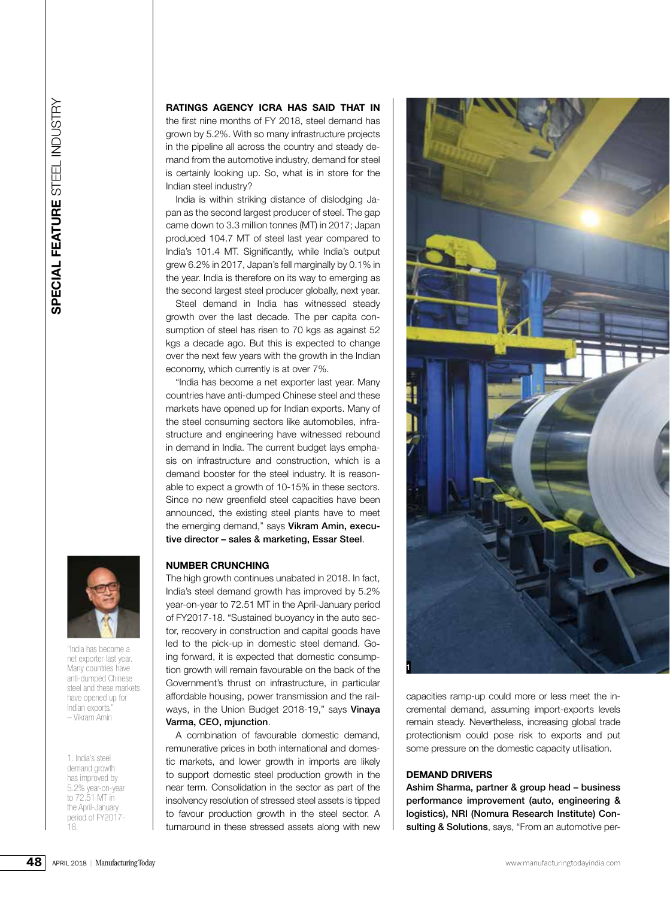

"India has become a net exporter last year. Many countries have anti-dumped Chinese steel and these markets have opened up for Indian exports." – Vikram Amin

1. India's steel demand growth has improved by 5.2% year-on-year to 72.51 MT in the April-January period of FY2017- 18.

### **RATINGS AGENCY ICRA HAS SAID THAT IN**

the first nine months of FY 2018, steel demand has grown by 5.2%. With so many infrastructure projects in the pipeline all across the country and steady demand from the automotive industry, demand for steel is certainly looking up. So, what is in store for the Indian steel industry?

India is within striking distance of dislodging Japan as the second largest producer of steel. The gap came down to 3.3 million tonnes (MT) in 2017; Japan produced 104.7 MT of steel last year compared to India's 101.4 MT. Significantly, while India's output grew 6.2% in 2017, Japan's fell marginally by 0.1% in the year. India is therefore on its way to emerging as the second largest steel producer globally, next year.

Steel demand in India has witnessed steady growth over the last decade. The per capita consumption of steel has risen to 70 kgs as against 52 kgs a decade ago. But this is expected to change over the next few years with the growth in the Indian economy, which currently is at over 7%.

"India has become a net exporter last year. Many countries have anti-dumped Chinese steel and these markets have opened up for Indian exports. Many of the steel consuming sectors like automobiles, infrastructure and engineering have witnessed rebound in demand in India. The current budget lays emphasis on infrastructure and construction, which is a demand booster for the steel industry. It is reasonable to expect a growth of 10-15% in these sectors. Since no new greenfield steel capacities have been announced, the existing steel plants have to meet the emerging demand," says Vikram Amin, executive director – sales & marketing, Essar Steel.

### **NUMBER CRUNCHING**

The high growth continues unabated in 2018. In fact, India's steel demand growth has improved by 5.2% year-on-year to 72.51 MT in the April-January period of FY2017-18. "Sustained buoyancy in the auto sector, recovery in construction and capital goods have led to the pick-up in domestic steel demand. Going forward, it is expected that domestic consumption growth will remain favourable on the back of the Government's thrust on infrastructure, in particular affordable housing, power transmission and the railways, in the Union Budget 2018-19," says Vinaya Varma, CEO, mjunction.

A combination of favourable domestic demand, remunerative prices in both international and domestic markets, and lower growth in imports are likely to support domestic steel production growth in the near term. Consolidation in the sector as part of the insolvency resolution of stressed steel assets is tipped to favour production growth in the steel sector. A turnaround in these stressed assets along with new



capacities ramp-up could more or less meet the incremental demand, assuming import-exports levels remain steady. Nevertheless, increasing global trade protectionism could pose risk to exports and put some pressure on the domestic capacity utilisation.

# **DEMAND DRIVERS**

Ashim Sharma, partner & group head – business performance improvement (auto, engineering & logistics), NRI (Nomura Research Institute) Consulting & Solutions, says, "From an automotive per-

**48**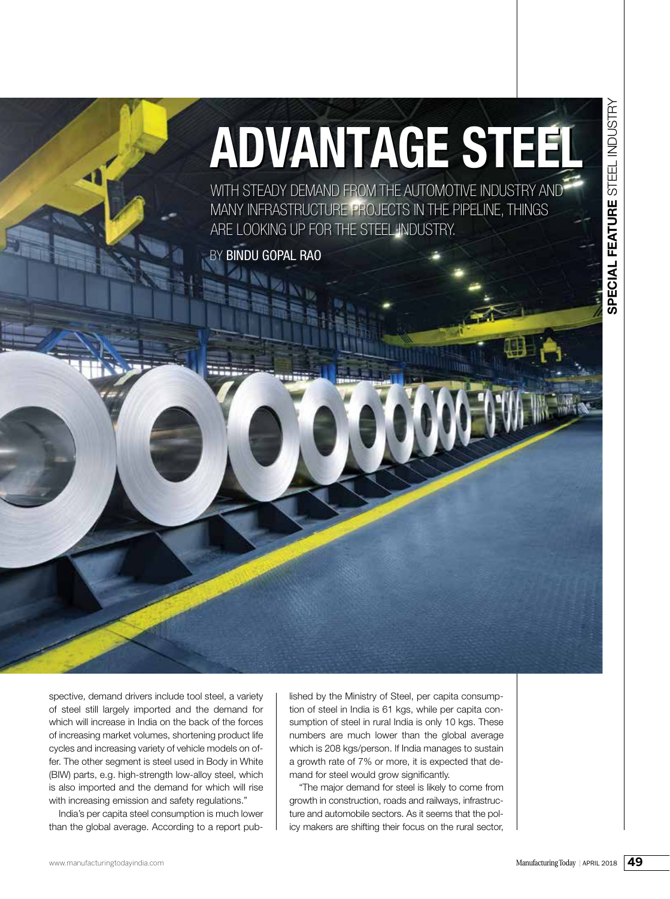# **ADVANTAGE STEEL**

WITH STEADY DEMAND FROM THE AUTOMOTIVE INDUSTRY AND MANY INFRASTRUCTURE PROJECTS IN THE PIPELINE, THINGS ARE LOOKING UP FOR THE STEEL INDUSTRY.

BY **BINDU GOPAL RAO** 

WELFANTAGE STEEL spective, demand drivers include tool steel, a variety of steel still largely imported and the demand for which will increase in India on the back of the forces of increasing market volumes, shortening product life cycles and increasing variety of vehicle models on offer. The other segment is steel used in Body in White (BIW) parts, e.g. high-strength low-alloy steel, which is also imported and the demand for which will rise with increasing emission and safety regulations."

India's per capita steel consumption is much lower than the global average. According to a report pub-

lished by the Ministry of Steel, per capita consumption of steel in India is 61 kgs, while per capita consumption of steel in rural India is only 10 kgs. These numbers are much lower than the global average which is 208 kgs/person. If India manages to sustain a growth rate of 7% or more, it is expected that demand for steel would grow significantly.

"The major demand for steel is likely to come from growth in construction, roads and railways, infrastructure and automobile sectors. As it seems that the policy makers are shifting their focus on the rural sector,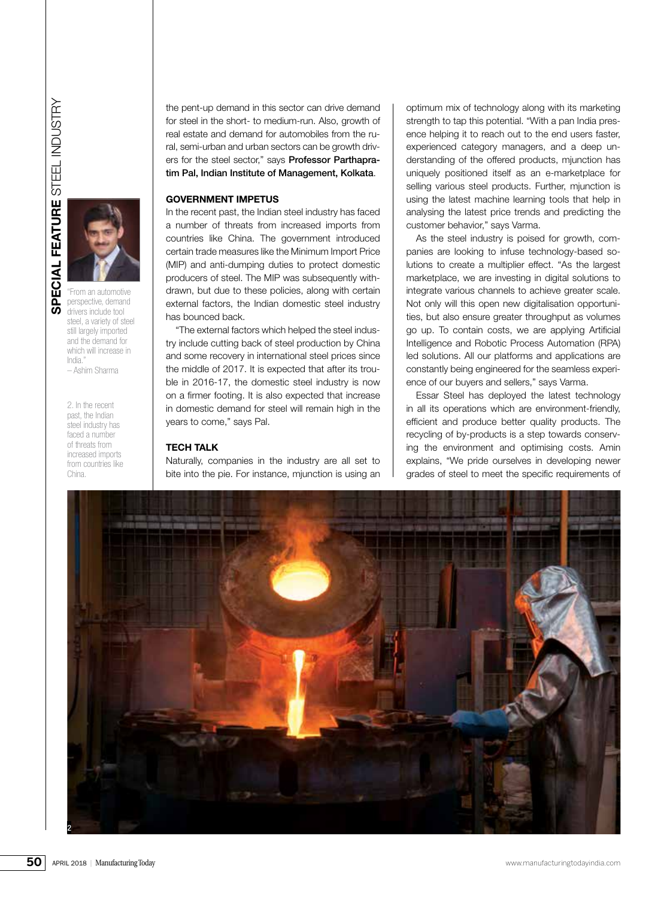

perspective, demand drivers include tool steel, a variety of steel still largely imported and the demand for which will increase in India." – Ashim Sharma

2. In the recent past, the Indian steel industry has faced a number of threats from increased imports from countries like China.

the pent-up demand in this sector can drive demand for steel in the short- to medium-run. Also, growth of real estate and demand for automobiles from the rural, semi-urban and urban sectors can be growth drivers for the steel sector," says Professor Parthapratim Pal, Indian Institute of Management, Kolkata.

## **GOVERNMENT IMPETUS**

In the recent past, the Indian steel industry has faced a number of threats from increased imports from countries like China. The government introduced certain trade measures like the Minimum Import Price (MIP) and anti-dumping duties to protect domestic producers of steel. The MIP was subsequently withdrawn, but due to these policies, along with certain external factors, the Indian domestic steel industry has bounced back.

"The external factors which helped the steel industry include cutting back of steel production by China and some recovery in international steel prices since the middle of 2017. It is expected that after its trouble in 2016-17, the domestic steel industry is now on a firmer footing. It is also expected that increase in domestic demand for steel will remain high in the years to come," says Pal.

#### **TECH TALK**

Naturally, companies in the industry are all set to bite into the pie. For instance, mjunction is using an optimum mix of technology along with its marketing strength to tap this potential. "With a pan India presence helping it to reach out to the end users faster, experienced category managers, and a deep understanding of the offered products, mjunction has uniquely positioned itself as an e-marketplace for selling various steel products. Further, miunction is using the latest machine learning tools that help in analysing the latest price trends and predicting the customer behavior," says Varma.

As the steel industry is poised for growth, companies are looking to infuse technology-based solutions to create a multiplier effect. "As the largest marketplace, we are investing in digital solutions to integrate various channels to achieve greater scale. Not only will this open new digitalisation opportunities, but also ensure greater throughput as volumes go up. To contain costs, we are applying Artificial Intelligence and Robotic Process Automation (RPA) led solutions. All our platforms and applications are constantly being engineered for the seamless experience of our buyers and sellers," says Varma.

Essar Steel has deployed the latest technology in all its operations which are environment-friendly, efficient and produce better quality products. The recycling of by-products is a step towards conserving the environment and optimising costs. Amin explains, "We pride ourselves in developing newer grades of steel to meet the specific requirements of